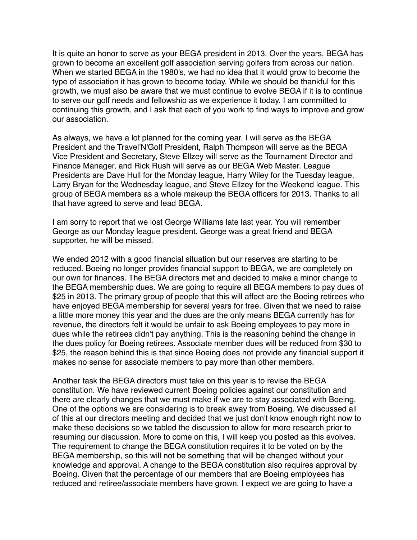It is quite an honor to serve as your BEGA president in 2013. Over the years, BEGA has grown to become an excellent golf association serving golfers from across our nation. When we started BEGA in the 1980's, we had no idea that it would grow to become the type of association it has grown to become today. While we should be thankful for this growth, we must also be aware that we must continue to evolve BEGA if it is to continue to serve our golf needs and fellowship as we experience it today. I am committed to continuing this growth, and I ask that each of you work to find ways to improve and grow our association.

As always, we have a lot planned for the coming year. I will serve as the BEGA President and the Travel'N'Golf President, Ralph Thompson will serve as the BEGA Vice President and Secretary, Steve Ellzey will serve as the Tournament Director and Finance Manager, and Rick Rush will serve as our BEGA Web Master. League Presidents are Dave Hull for the Monday league, Harry Wiley for the Tuesday league, Larry Bryan for the Wednesday league, and Steve Ellzey for the Weekend league. This group of BEGA members as a whole makeup the BEGA officers for 2013. Thanks to all that have agreed to serve and lead BEGA.

I am sorry to report that we lost George Williams late last year. You will remember George as our Monday league president. George was a great friend and BEGA supporter, he will be missed.

We ended 2012 with a good financial situation but our reserves are starting to be reduced. Boeing no longer provides financial support to BEGA, we are completely on our own for finances. The BEGA directors met and decided to make a minor change to the BEGA membership dues. We are going to require all BEGA members to pay dues of \$25 in 2013. The primary group of people that this will affect are the Boeing retirees who have enjoyed BEGA membership for several years for free. Given that we need to raise a little more money this year and the dues are the only means BEGA currently has for revenue, the directors felt it would be unfair to ask Boeing employees to pay more in dues while the retirees didn't pay anything. This is the reasoning behind the change in the dues policy for Boeing retirees. Associate member dues will be reduced from \$30 to \$25, the reason behind this is that since Boeing does not provide any financial support it makes no sense for associate members to pay more than other members.

Another task the BEGA directors must take on this year is to revise the BEGA constitution. We have reviewed current Boeing policies against our constitution and there are clearly changes that we must make if we are to stay associated with Boeing. One of the options we are considering is to break away from Boeing. We discussed all of this at our directors meeting and decided that we just don't know enough right now to make these decisions so we tabled the discussion to allow for more research prior to resuming our discussion. More to come on this, I will keep you posted as this evolves. The requirement to change the BEGA constitution requires it to be voted on by the BEGA membership, so this will not be something that will be changed without your knowledge and approval. A change to the BEGA constitution also requires approval by Boeing. Given that the percentage of our members that are Boeing employees has reduced and retiree/associate members have grown, I expect we are going to have a